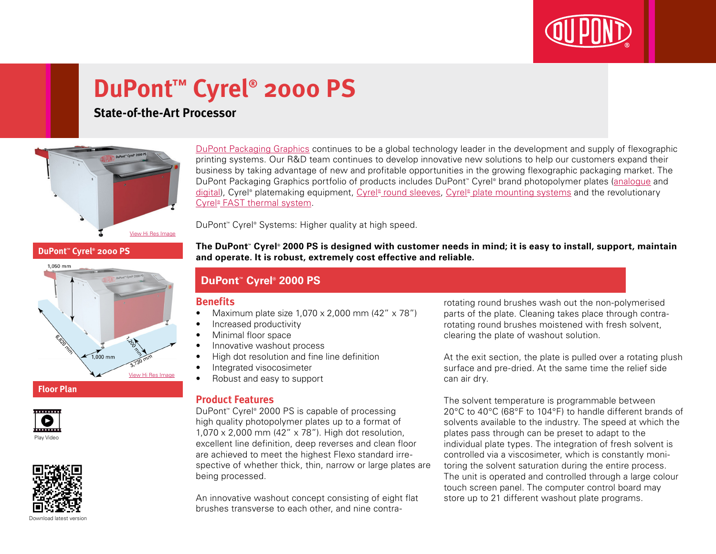

# **DuPont™ Cyrel® 2000 PS**

## **State-of-the-Art Processor**



[DuPont Packaging Graphics](http://www2.dupont.com/Packaging_Graphics/en_GB/index.html) continues to be a global technology leader in the development and supply of flexographic printing systems. Our R&D team continues to develop innovative new solutions to help our customers expand their business by taking advantage of new and profitable opportunities in the growing flexographic packaging market. The DuPont Packaging Graphics portfolio of products includes DuPont™ Cyrel® brand photopolymer plates ([analogue](http://www2.dupont.com/Packaging_Graphics/en_GB/products/solvent_platemaking/index.html) and [digital\)](http://www2.dupont.com/Packaging_Graphics/en_GB/products/digital_wkflow/digital_workflow.html), Cyrel® platemaking equipment, Cyrel® [round sleeves](http://www2.dupont.com/Packaging_Graphics/en_GB/products/cyrel_round/index_cyrelround2.html), Cyrel® [plate mounting systems](http://www2.dupont.com/Packaging_Graphics/en_GB/products/mounting_systems/index.html) and the revolutionary Cyrel<sup>®</sup> [FAST thermal system.](http://www2.dupont.com/Packaging_Graphics/en_GB/products/cyrel_fast/cyrelfast_index.html)

DuPont™ Cyrel® Systems: Higher quality at high speed.

**DuPont™ Cyrel® 2000 PS**



#### **Floor Plan**





**The DuPont™ Cyrel® 2000 PS is designed with customer needs in mind; it is easy to install, support, maintain and operate. It is robust, extremely cost effective and reliable.**

### **DuPont™ Cyrel® 2000 PS**

#### **Benefits**

- Maximum plate size  $1,070 \times 2,000$  mm  $(42'' \times 78'')$
- Increased productivity
- Minimal floor space
- Innovative washout process
- • High dot resolution and fine line definition
- Integrated visocosimeter
- • Robust and easy to support

#### **Product Features**

DuPont™ Cyrel® 2000 PS is capable of processing high quality photopolymer plates up to a format of 1,070 x 2,000 mm (42" x 78"). High dot resolution, excellent line definition, deep reverses and clean floor are achieved to meet the highest Flexo standard irrespective of whether thick, thin, narrow or large plates are being processed.

An innovative washout concept consisting of eight flat brushes transverse to each other, and nine contra-

rotating round brushes wash out the non-polymerised parts of the plate. Cleaning takes place through contrarotating round brushes moistened with fresh solvent, clearing the plate of washout solution.

At the exit section, the plate is pulled over a rotating plush surface and pre-dried. At the same time the relief side can air dry.

The solvent temperature is programmable between 20°C to 40°C (68°F to 104°F) to handle different brands of solvents available to the industry. The speed at which the plates pass through can be preset to adapt to the individual plate types. The integration of fresh solvent is controlled via a viscosimeter, which is constantly monitoring the solvent saturation during the entire process. The unit is operated and controlled through a large colour touch screen panel. The computer control board may store up to 21 different washout plate programs.